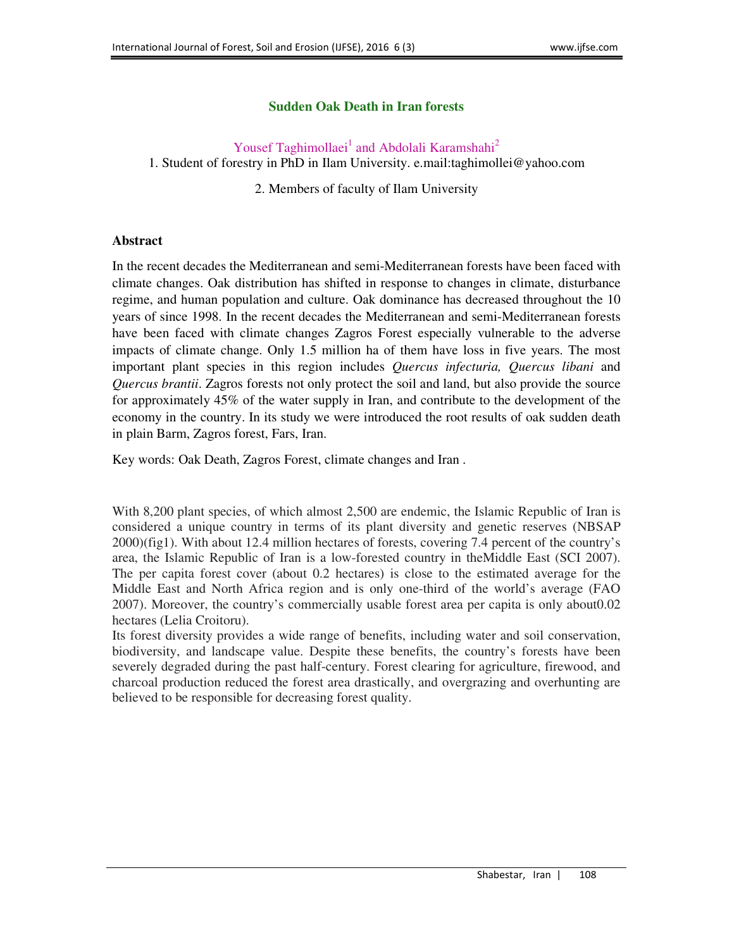## **Sudden Oak Death in Iran forests**

## Yousef Taghimollaei<sup>1</sup> and Abdolali Karamshahi<sup>2</sup>

1. Student of forestry in PhD in Ilam University. e.mail:taghimollei@yahoo.com

2. Members of faculty of Ilam University

## **Abstract**

In the recent decades the Mediterranean and semi-Mediterranean forests have been faced with climate changes. Oak distribution has shifted in response to changes in climate, disturbance regime, and human population and culture. Oak dominance has decreased throughout the 10 years of since 1998. In the recent decades the Mediterranean and semi-Mediterranean forests have been faced with climate changes Zagros Forest especially vulnerable to the adverse impacts of climate change. Only 1.5 million ha of them have loss in five years. The most important plant species in this region includes *Quercus infecturia, Quercus libani* and *Quercus brantii*. Zagros forests not only protect the soil and land, but also provide the source for approximately 45% of the water supply in Iran, and contribute to the development of the economy in the country. In its study we were introduced the root results of oak sudden death in plain Barm, Zagros forest, Fars, Iran.

Key words: Oak Death, Zagros Forest, climate changes and Iran .

With 8,200 plant species, of which almost 2,500 are endemic, the Islamic Republic of Iran is considered a unique country in terms of its plant diversity and genetic reserves (NBSAP 2000)(fig1). With about 12.4 million hectares of forests, covering 7.4 percent of the country's area, the Islamic Republic of Iran is a low-forested country in theMiddle East (SCI 2007). The per capita forest cover (about 0.2 hectares) is close to the estimated average for the Middle East and North Africa region and is only one-third of the world's average (FAO 2007). Moreover, the country's commercially usable forest area per capita is only about0.02 hectares (Lelia Croitoru).

Its forest diversity provides a wide range of benefits, including water and soil conservation, biodiversity, and landscape value. Despite these benefits, the country's forests have been severely degraded during the past half-century. Forest clearing for agriculture, firewood, and charcoal production reduced the forest area drastically, and overgrazing and overhunting are believed to be responsible for decreasing forest quality.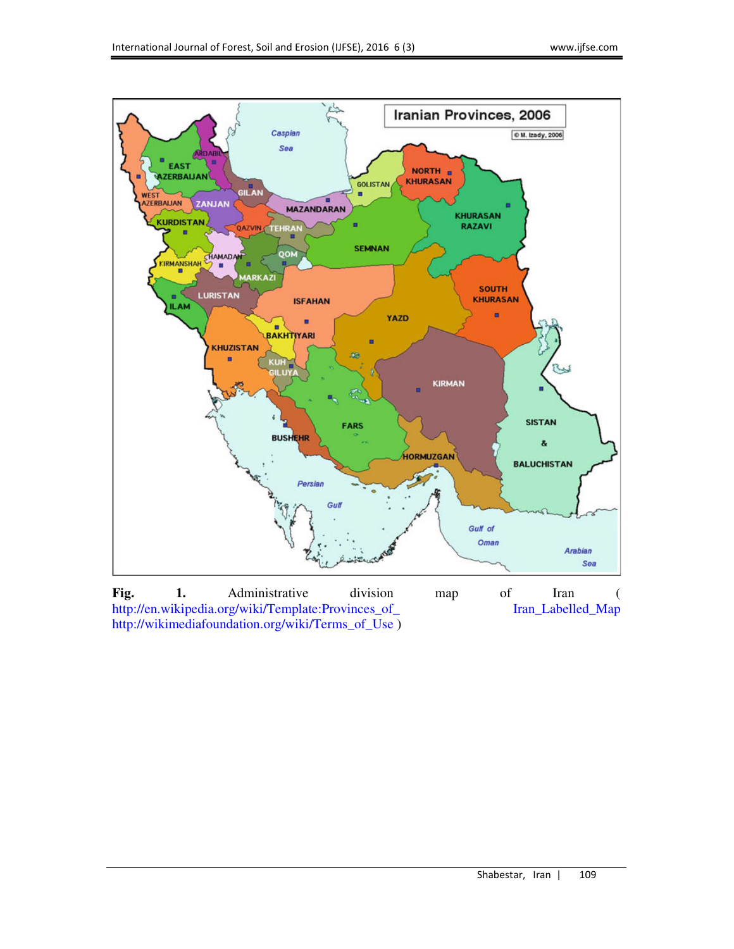

**Fig. 1.** Administrative division map of Iran ( http://en.wikipedia.org/wiki/Template:Provinces\_of\_ Iran\_Labelled\_Map http://wikimediafoundation.org/wiki/Terms\_of\_Use )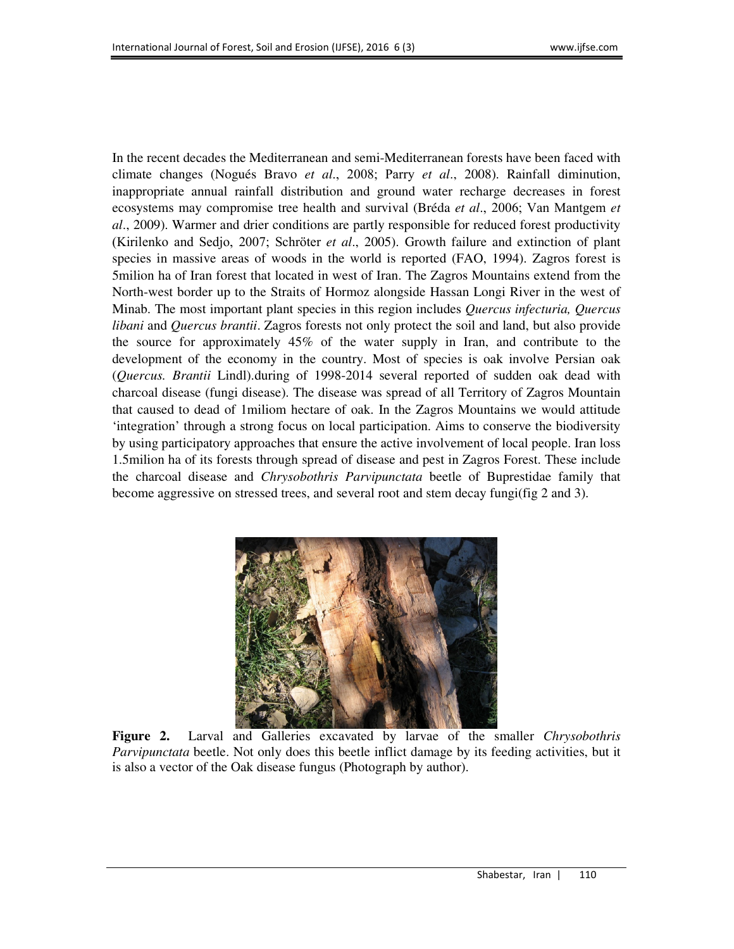In the recent decades the Mediterranean and semi-Mediterranean forests have been faced with climate changes (Nogués Bravo *et al*., 2008; Parry *et al*., 2008). Rainfall diminution, inappropriate annual rainfall distribution and ground water recharge decreases in forest ecosystems may compromise tree health and survival (Bréda *et al*., 2006; Van Mantgem *et al*., 2009). Warmer and drier conditions are partly responsible for reduced forest productivity (Kirilenko and Sedjo, 2007; Schröter *et al*., 2005). Growth failure and extinction of plant species in massive areas of woods in the world is reported (FAO, 1994). Zagros forest is 5milion ha of Iran forest that located in west of Iran. The Zagros Mountains extend from the North-west border up to the Straits of Hormoz alongside Hassan Longi River in the west of Minab. The most important plant species in this region includes *Quercus infecturia, Quercus libani* and *Quercus brantii*. Zagros forests not only protect the soil and land, but also provide the source for approximately 45% of the water supply in Iran, and contribute to the development of the economy in the country. Most of species is oak involve Persian oak (*Quercus. Brantii* Lindl).during of 1998-2014 several reported of sudden oak dead with charcoal disease (fungi disease). The disease was spread of all Territory of Zagros Mountain that caused to dead of 1miliom hectare of oak. In the Zagros Mountains we would attitude 'integration' through a strong focus on local participation. Aims to conserve the biodiversity by using participatory approaches that ensure the active involvement of local people. Iran loss 1.5milion ha of its forests through spread of disease and pest in Zagros Forest. These include the charcoal disease and *Chrysobothris Parvipunctata* beetle of Buprestidae family that become aggressive on stressed trees, and several root and stem decay fungi(fig 2 and 3).



**Figure 2.** Larval and Galleries excavated by larvae of the smaller *Chrysobothris Parvipunctata* beetle. Not only does this beetle inflict damage by its feeding activities, but it is also a vector of the Oak disease fungus (Photograph by author).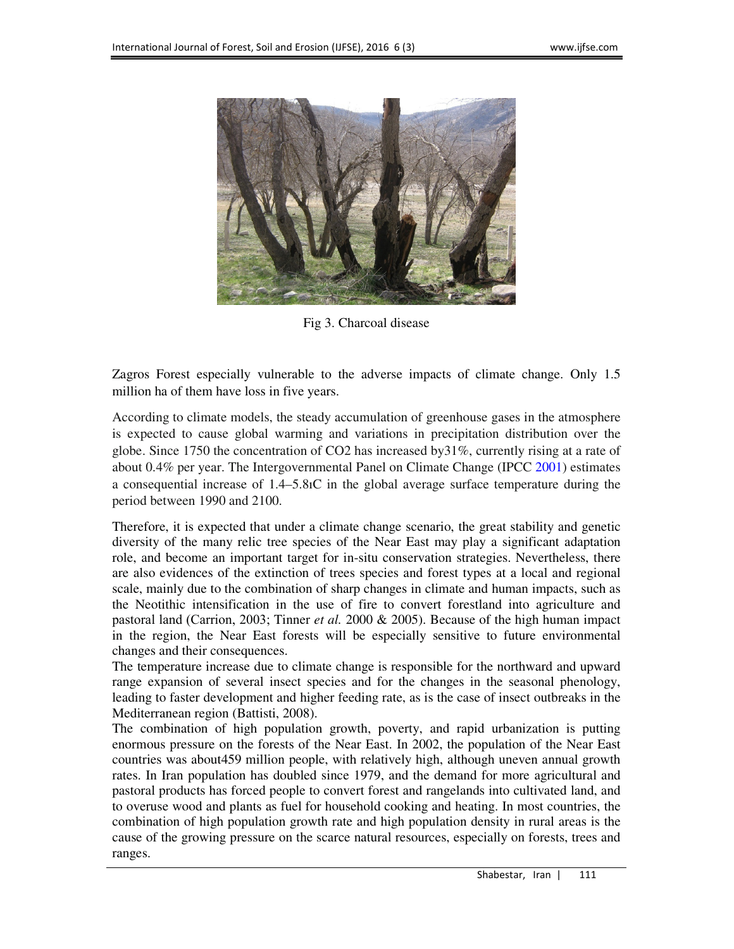

Fig 3. Charcoal disease

Zagros Forest especially vulnerable to the adverse impacts of climate change. Only 1.5 million ha of them have loss in five years.

According to climate models, the steady accumulation of greenhouse gases in the atmosphere is expected to cause global warming and variations in precipitation distribution over the globe. Since 1750 the concentration of CO2 has increased by31%, currently rising at a rate of about 0.4% per year. The Intergovernmental Panel on Climate Change (IPCC 2001) estimates a consequential increase of 1.4–5.8ıC in the global average surface temperature during the period between 1990 and 2100.

Therefore, it is expected that under a climate change scenario, the great stability and genetic diversity of the many relic tree species of the Near East may play a significant adaptation role, and become an important target for in-situ conservation strategies. Nevertheless, there are also evidences of the extinction of trees species and forest types at a local and regional scale, mainly due to the combination of sharp changes in climate and human impacts, such as the Neotithic intensification in the use of fire to convert forestland into agriculture and pastoral land (Carrion, 2003; Tinner *et al.* 2000 & 2005). Because of the high human impact in the region, the Near East forests will be especially sensitive to future environmental changes and their consequences.

The temperature increase due to climate change is responsible for the northward and upward range expansion of several insect species and for the changes in the seasonal phenology, leading to faster development and higher feeding rate, as is the case of insect outbreaks in the Mediterranean region (Battisti, 2008).

The combination of high population growth, poverty, and rapid urbanization is putting enormous pressure on the forests of the Near East. In 2002, the population of the Near East countries was about459 million people, with relatively high, although uneven annual growth rates. In Iran population has doubled since 1979, and the demand for more agricultural and pastoral products has forced people to convert forest and rangelands into cultivated land, and to overuse wood and plants as fuel for household cooking and heating. In most countries, the combination of high population growth rate and high population density in rural areas is the cause of the growing pressure on the scarce natural resources, especially on forests, trees and ranges.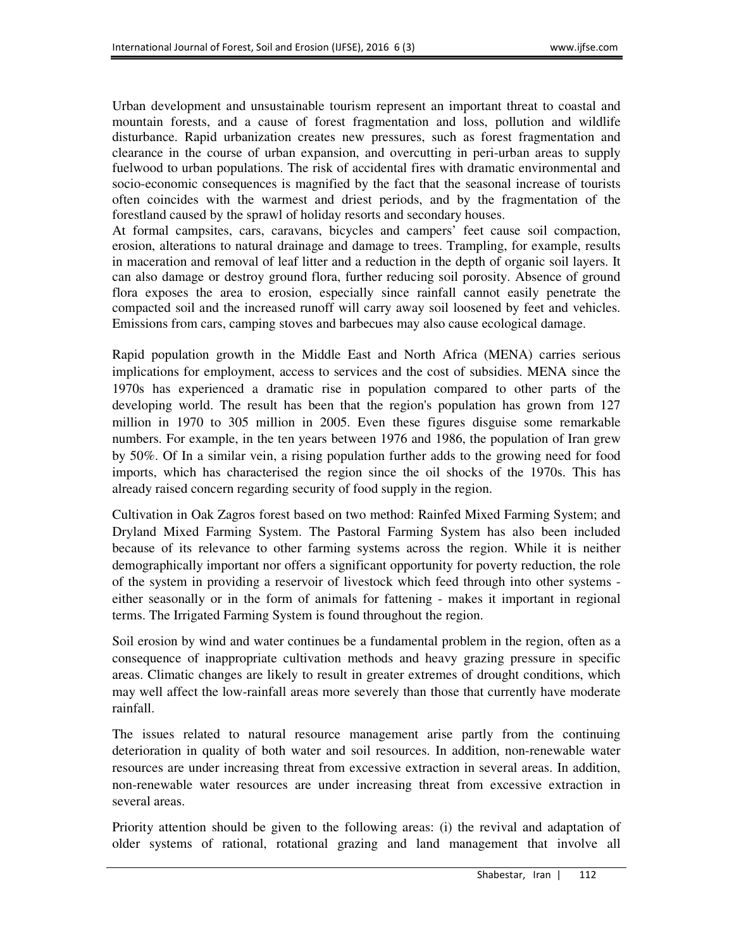Urban development and unsustainable tourism represent an important threat to coastal and mountain forests, and a cause of forest fragmentation and loss, pollution and wildlife disturbance. Rapid urbanization creates new pressures, such as forest fragmentation and clearance in the course of urban expansion, and overcutting in peri-urban areas to supply fuelwood to urban populations. The risk of accidental fires with dramatic environmental and socio-economic consequences is magnified by the fact that the seasonal increase of tourists often coincides with the warmest and driest periods, and by the fragmentation of the forestland caused by the sprawl of holiday resorts and secondary houses.

At formal campsites, cars, caravans, bicycles and campers' feet cause soil compaction, erosion, alterations to natural drainage and damage to trees. Trampling, for example, results in maceration and removal of leaf litter and a reduction in the depth of organic soil layers. It can also damage or destroy ground flora, further reducing soil porosity. Absence of ground flora exposes the area to erosion, especially since rainfall cannot easily penetrate the compacted soil and the increased runoff will carry away soil loosened by feet and vehicles. Emissions from cars, camping stoves and barbecues may also cause ecological damage.

Rapid population growth in the Middle East and North Africa (MENA) carries serious implications for employment, access to services and the cost of subsidies. MENA since the 1970s has experienced a dramatic rise in population compared to other parts of the developing world. The result has been that the region's population has grown from 127 million in 1970 to 305 million in 2005. Even these figures disguise some remarkable numbers. For example, in the ten years between 1976 and 1986, the population of Iran grew by 50%. Of In a similar vein, a rising population further adds to the growing need for food imports, which has characterised the region since the oil shocks of the 1970s. This has already raised concern regarding security of food supply in the region.

Cultivation in Oak Zagros forest based on two method: Rainfed Mixed Farming System; and Dryland Mixed Farming System. The Pastoral Farming System has also been included because of its relevance to other farming systems across the region. While it is neither demographically important nor offers a significant opportunity for poverty reduction, the role of the system in providing a reservoir of livestock which feed through into other systems either seasonally or in the form of animals for fattening - makes it important in regional terms. The Irrigated Farming System is found throughout the region.

Soil erosion by wind and water continues be a fundamental problem in the region, often as a consequence of inappropriate cultivation methods and heavy grazing pressure in specific areas. Climatic changes are likely to result in greater extremes of drought conditions, which may well affect the low-rainfall areas more severely than those that currently have moderate rainfall.

The issues related to natural resource management arise partly from the continuing deterioration in quality of both water and soil resources. In addition, non-renewable water resources are under increasing threat from excessive extraction in several areas. In addition, non-renewable water resources are under increasing threat from excessive extraction in several areas.

Priority attention should be given to the following areas: (i) the revival and adaptation of older systems of rational, rotational grazing and land management that involve all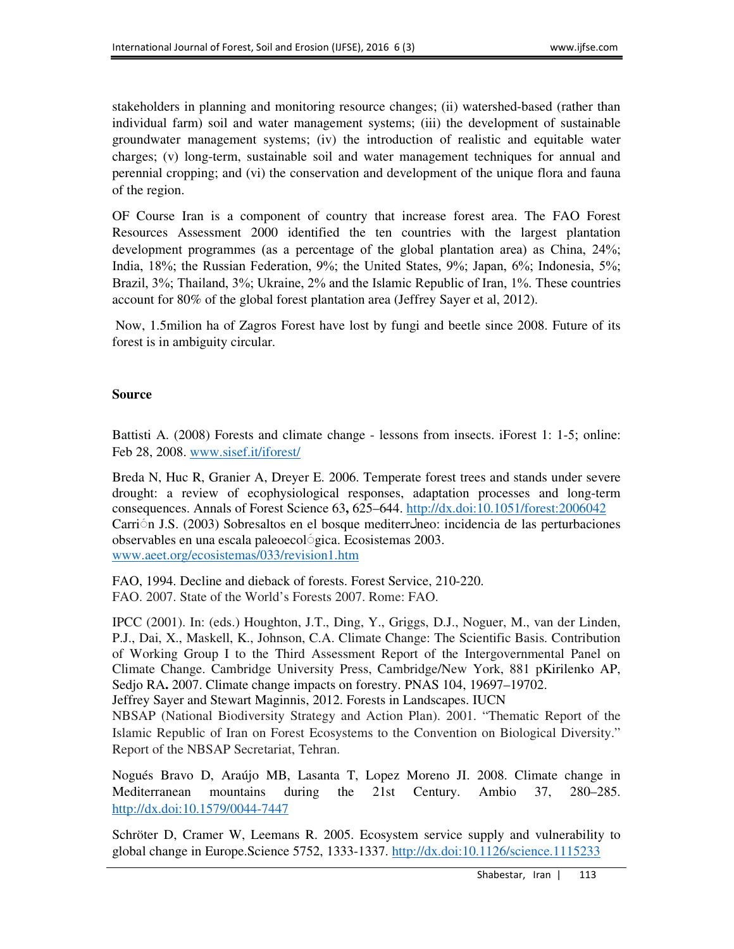stakeholders in planning and monitoring resource changes; (ii) watershed-based (rather than individual farm) soil and water management systems; (iii) the development of sustainable groundwater management systems; (iv) the introduction of realistic and equitable water charges; (v) long-term, sustainable soil and water management techniques for annual and perennial cropping; and (vi) the conservation and development of the unique flora and fauna of the region.

OF Course Iran is a component of country that increase forest area. The FAO Forest Resources Assessment 2000 identified the ten countries with the largest plantation development programmes (as a percentage of the global plantation area) as China, 24%; India, 18%; the Russian Federation, 9%; the United States, 9%; Japan, 6%; Indonesia, 5%; Brazil, 3%; Thailand, 3%; Ukraine, 2% and the Islamic Republic of Iran, 1%. These countries account for 80% of the global forest plantation area (Jeffrey Sayer et al, 2012).

 Now, 1.5milion ha of Zagros Forest have lost by fungi and beetle since 2008. Future of its forest is in ambiguity circular.

## **Source**

Battisti A. (2008) Forests and climate change - lessons from insects. iForest 1: 1-5; online: Feb 28, 2008. www.sisef.it/iforest/

Breda N, Huc R, Granier A, Dreyer E. 2006. Temperate forest trees and stands under severe drought: a review of ecophysiological responses, adaptation processes and long-term consequences. Annals of Forest Science 63**,** 625–644. http://dx.doi:10.1051/forest:2006042 Carri n J.S. (2003) Sobresaltos en el bosque mediterromeo: incidencia de las perturbaciones observables en una escala paleoecol *s*ica. Ecosistemas 2003. www.aeet.org/ecosistemas/033/revision1.htm

FAO, 1994. Decline and dieback of forests. Forest Service, 210-220. FAO. 2007. State of the World's Forests 2007. Rome: FAO.

IPCC (2001). In: (eds.) Houghton, J.T., Ding, Y., Griggs, D.J., Noguer, M., van der Linden, P.J., Dai, X., Maskell, K., Johnson, C.A. Climate Change: The Scientific Basis. Contribution of Working Group I to the Third Assessment Report of the Intergovernmental Panel on Climate Change. Cambridge University Press, Cambridge/New York, 881 pKirilenko AP, Sedjo RA**.** 2007. Climate change impacts on forestry. PNAS 104, 19697–19702. Jeffrey Sayer and Stewart Maginnis, 2012. Forests in Landscapes. IUCN

NBSAP (National Biodiversity Strategy and Action Plan). 2001. "Thematic Report of the Islamic Republic of Iran on Forest Ecosystems to the Convention on Biological Diversity." Report of the NBSAP Secretariat, Tehran.

Nogués Bravo D, Araújo MB, Lasanta T, Lopez Moreno JI. 2008. Climate change in Mediterranean mountains during the 21st Century. Ambio 37, 280–285. http://dx.doi:10.1579/0044-7447

Schröter D, Cramer W, Leemans R. 2005. Ecosystem service supply and vulnerability to global change in Europe.Science 5752, 1333-1337. http://dx.doi:10.1126/science.1115233